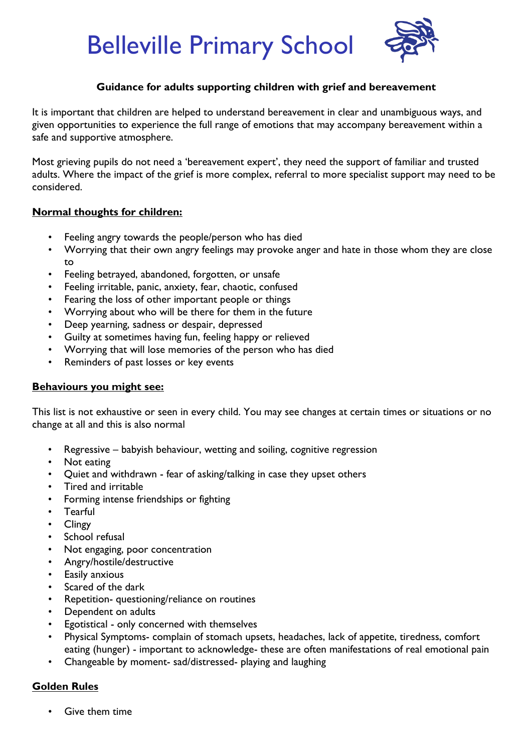Belleville Primary School



### **Guidance for adults supporting children with grief and bereavement**

It is important that children are helped to understand bereavement in clear and unambiguous ways, and given opportunities to experience the full range of emotions that may accompany bereavement within a safe and supportive atmosphere.

Most grieving pupils do not need a 'bereavement expert', they need the support of familiar and trusted adults. Where the impact of the grief is more complex, referral to more specialist support may need to be considered.

### **Normal thoughts for children:**

- Feeling angry towards the people/person who has died
- Worrying that their own angry feelings may provoke anger and hate in those whom they are close to
- Feeling betrayed, abandoned, forgotten, or unsafe
- Feeling irritable, panic, anxiety, fear, chaotic, confused
- Fearing the loss of other important people or things
- Worrying about who will be there for them in the future
- Deep yearning, sadness or despair, depressed
- Guilty at sometimes having fun, feeling happy or relieved
- Worrying that will lose memories of the person who has died
- Reminders of past losses or key events

### **Behaviours you might see:**

This list is not exhaustive or seen in every child. You may see changes at certain times or situations or no change at all and this is also normal

- Regressive babyish behaviour, wetting and soiling, cognitive regression
- Not eating
- Quiet and withdrawn fear of asking/talking in case they upset others
- Tired and irritable
- Forming intense friendships or fighting
- Tearful
- Clingy
- School refusal
- Not engaging, poor concentration
- Angry/hostile/destructive
- **Easily anxious**
- Scared of the dark
- Repetition- questioning/reliance on routines
- Dependent on adults
- Egotistical only concerned with themselves
- Physical Symptoms- complain of stomach upsets, headaches, lack of appetite, tiredness, comfort eating (hunger) - important to acknowledge- these are often manifestations of real emotional pain
- Changeable by moment- sad/distressed- playing and laughing

# **Golden Rules**

• Give them time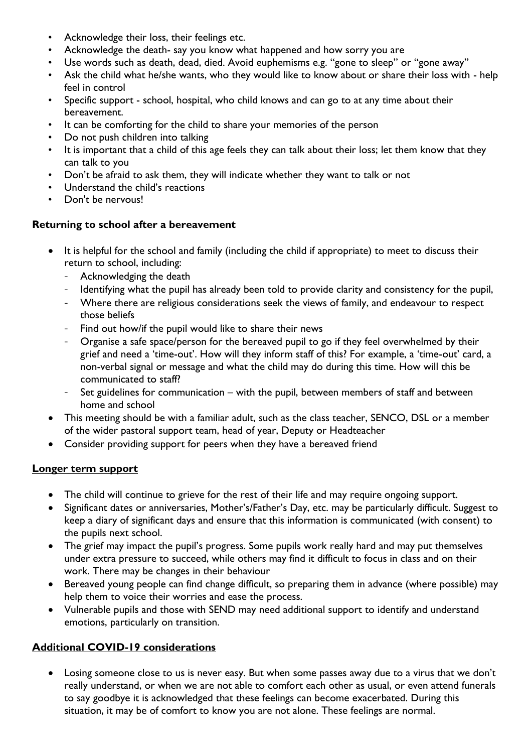- Acknowledge their loss, their feelings etc.
- Acknowledge the death- say you know what happened and how sorry you are
- Use words such as death, dead, died. Avoid euphemisms e.g. "gone to sleep" or "gone away"
- Ask the child what he/she wants, who they would like to know about or share their loss with help feel in control
- Specific support school, hospital, who child knows and can go to at any time about their bereavement.
- It can be comforting for the child to share your memories of the person
- Do not push children into talking
- It is important that a child of this age feels they can talk about their loss; let them know that they can talk to you
- Don't be afraid to ask them, they will indicate whether they want to talk or not
- Understand the child's reactions
- Don't be nervous!

### **Returning to school after a bereavement**

- It is helpful for the school and family (including the child if appropriate) to meet to discuss their return to school, including:
	- Acknowledging the death
	- Identifying what the pupil has already been told to provide clarity and consistency for the pupil,
	- Where there are religious considerations seek the views of family, and endeavour to respect those beliefs
	- Find out how/if the pupil would like to share their news
	- Organise a safe space/person for the bereaved pupil to go if they feel overwhelmed by their grief and need a 'time-out'. How will they inform staff of this? For example, a 'time-out' card, a non-verbal signal or message and what the child may do during this time. How will this be communicated to staff?
	- Set guidelines for communication with the pupil, between members of staff and between home and school
- This meeting should be with a familiar adult, such as the class teacher, SENCO, DSL or a member of the wider pastoral support team, head of year, Deputy or Headteacher
- Consider providing support for peers when they have a bereaved friend

# **Longer term support**

- The child will continue to grieve for the rest of their life and may require ongoing support.
- Significant dates or anniversaries, Mother's/Father's Day, etc. may be particularly difficult. Suggest to keep a diary of significant days and ensure that this information is communicated (with consent) to the pupils next school.
- The grief may impact the pupil's progress. Some pupils work really hard and may put themselves under extra pressure to succeed, while others may find it difficult to focus in class and on their work. There may be changes in their behaviour
- Bereaved young people can find change difficult, so preparing them in advance (where possible) may help them to voice their worries and ease the process.
- Vulnerable pupils and those with SEND may need additional support to identify and understand emotions, particularly on transition.

# **Additional COVID-19 considerations**

• Losing someone close to us is never easy. But when some passes away due to a virus that we don't really understand, or when we are not able to comfort each other as usual, or even attend funerals to say goodbye it is acknowledged that these feelings can become exacerbated. During this situation, it may be of comfort to know you are not alone. These feelings are normal.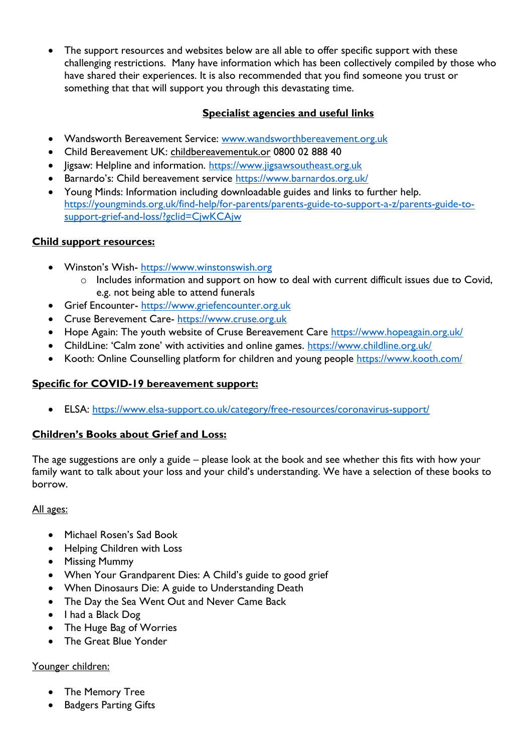The support resources and websites below are all able to offer specific support with these challenging restrictions. Many have information which has been collectively compiled by those who have shared their experiences. It is also recommended that you find someone you trust or something that that will support you through this devastating time.

### **Specialist agencies and useful links**

- Wandsworth Bereavement Service: [www.wandsworthbereavement.org.uk](http://www.wandsworthbereavement.org.uk/)
- Child Bereavement UK: childbereavementuk.or 0800 02 888 40
- ligsaw: Helpline and information. https://www.jigsawsoutheast.org.uk
- **Barnardo's: Child bereavement service https://www.barnardos.org.uk/**
- Young Minds: Information including downloadable guides and links to further help. [https://youngminds.org.uk/find-help/for-parents/parents-guide-to-support-a-z/parents-guide-to](https://youngminds.org.uk/find-help/for-parents/parents-guide-to-support-a-z/parents-guide-to-support-grief-and-loss/?gclid=CjwKCAjw)[support-grief-and-loss/?gclid=CjwKCAjw](https://youngminds.org.uk/find-help/for-parents/parents-guide-to-support-a-z/parents-guide-to-support-grief-and-loss/?gclid=CjwKCAjw)

### **Child support resources:**

- Winston's Wish- [https://www.winstonswish.org](https://www.winstonswish.org/)
	- o Includes information and support on how to deal with current difficult issues due to Covid, e.g. not being able to attend funerals
- Grief Encounter- [https://www.griefencounter.org.uk](https://www.griefencounter.org.uk/)
- Cruse Berevement Care- [https://www.cruse.org.uk](https://www.cruse.org.uk/)
- Hope Again: The youth website of Cruse Bereavement Care<https://www.hopeagain.org.uk/>
- ChildLine: 'Calm zone' with activities and online games. <https://www.childline.org.uk/>
- Kooth: Online Counselling platform for children and young people<https://www.kooth.com/>

# **Specific for COVID-19 bereavement support:**

ELSA:<https://www.elsa-support.co.uk/category/free-resources/coronavirus-support/>

# **Children's Books about Grief and Loss:**

The age suggestions are only a guide – please look at the book and see whether this fits with how your family want to talk about your loss and your child's understanding. We have a selection of these books to borrow.

### All ages:

- Michael Rosen's Sad Book
- Helping Children with Loss
- Missing Mummy
- When Your Grandparent Dies: A Child's guide to good grief
- When Dinosaurs Die: A guide to Understanding Death
- The Day the Sea Went Out and Never Came Back
- I had a Black Dog
- The Huge Bag of Worries
- **•** The Great Blue Yonder

### Younger children:

- The Memory Tree
- Badgers Parting Gifts